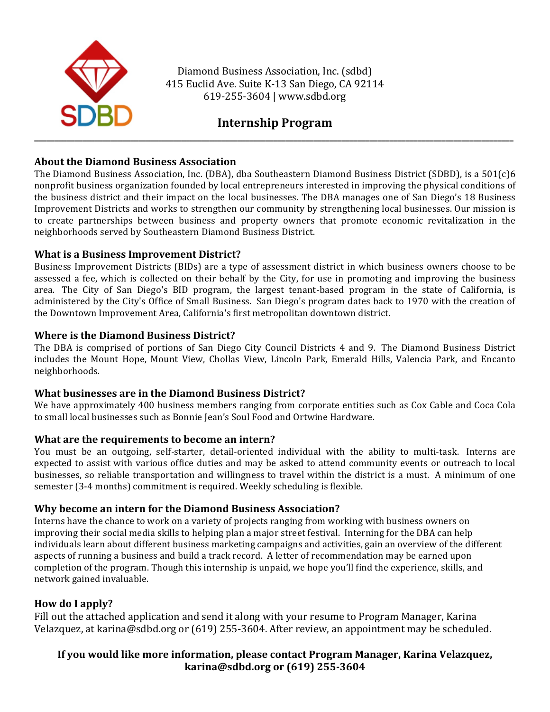

Diamond Business Association, Inc. (sdbd) 415 Euclid Ave. Suite K-13 San Diego, CA 92114 619-255-3604 | www.sdbd.org

# **Internship Program**

### **About the Diamond Business Association**

The Diamond Business Association, Inc. (DBA), dba Southeastern Diamond Business District (SDBD), is a 501(c)6 nonprofit business organization founded by local entrepreneurs interested in improving the physical conditions of the business district and their impact on the local businesses. The DBA manages one of San Diego's 18 Business Improvement Districts and works to strengthen our community by strengthening local businesses. Our mission is to create partnerships between business and property owners that promote economic revitalization in the neighborhoods served by Southeastern Diamond Business District.

### **What is a Business Improvement District?**

Business Improvement Districts (BIDs) are a type of assessment district in which business owners choose to be assessed a fee, which is collected on their behalf by the City, for use in promoting and improving the business area. The City of San Diego's BID program, the largest tenant-based program in the state of California, is administered by the City's Office of Small Business. San Diego's program dates back to 1970 with the creation of the Downtown Improvement Area, California's first metropolitan downtown district.

### **Where is the Diamond Business District?**

The DBA is comprised of portions of San Diego City Council Districts 4 and 9. The Diamond Business District includes the Mount Hope, Mount View, Chollas View, Lincoln Park, Emerald Hills, Valencia Park, and Encanto neighborhoods. 

### **What businesses are in the Diamond Business District?**

We have approximately 400 business members ranging from corporate entities such as Cox Cable and Coca Cola to small local businesses such as Bonnie Jean's Soul Food and Ortwine Hardware.

### **What are the requirements to become an intern?**

You must be an outgoing, self-starter, detail-oriented individual with the ability to multi-task. Interns are expected to assist with various office duties and may be asked to attend community events or outreach to local businesses, so reliable transportation and willingness to travel within the district is a must. A minimum of one semester (3-4 months) commitment is required. Weekly scheduling is flexible.

### **Why become an intern for the Diamond Business Association?**

Interns have the chance to work on a variety of projects ranging from working with business owners on improving their social media skills to helping plan a major street festival. Interning for the DBA can help individuals learn about different business marketing campaigns and activities, gain an overview of the different aspects of running a business and build a track record. A letter of recommendation may be earned upon completion of the program. Though this internship is unpaid, we hope you'll find the experience, skills, and network gained invaluable.

## **How do I apply?**

Fill out the attached application and send it along with your resume to Program Manager, Karina Velazquez, at karina@sdbd.org or (619) 255-3604. After review, an appointment may be scheduled.

## **If you would like more information, please contact Program Manager, Karina Velazquez, karina@sdbd.org or (619) 255-3604**